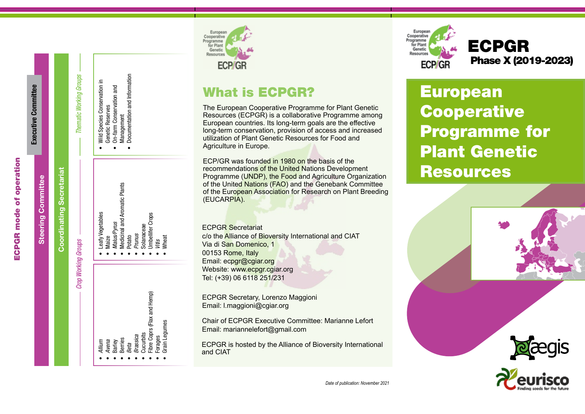# **ECPGR** mode of operation ECPGR mode of operation

|                           |                                 |                                |                                                                                                                                                                                                                                                                                                           | ECP/GR                                                                                                                                                                                                                                                                                                                                                                                                                                                                                                                                                                                                                                                                                                                                                                            |
|---------------------------|---------------------------------|--------------------------------|-----------------------------------------------------------------------------------------------------------------------------------------------------------------------------------------------------------------------------------------------------------------------------------------------------------|-----------------------------------------------------------------------------------------------------------------------------------------------------------------------------------------------------------------------------------------------------------------------------------------------------------------------------------------------------------------------------------------------------------------------------------------------------------------------------------------------------------------------------------------------------------------------------------------------------------------------------------------------------------------------------------------------------------------------------------------------------------------------------------|
| Executive Committee       |                                 | <b>Thematic Working Groups</b> | Documentation and Information<br>Wild Species Conservation in<br>On-farm Conservation and<br>Genetic Reserves<br>Management                                                                                                                                                                               | <b>What is ECPGR?</b><br>The European Cooperative Programme for Plant Genetic<br>Resources (ECPGR) is a collaborative Programme among<br>European countries. Its long-term goals are the effective<br>long-term conservation, provision of access and increased<br>utilization of Plant Genetic Resources for Food and<br>Agriculture in Europe.                                                                                                                                                                                                                                                                                                                                                                                                                                  |
| <b>Steering Committee</b> | <b>Coordinating Secretariat</b> | <b>Crop Working Groups</b>     | <b>Medicinal and Aromatic Plants</b><br>eafy Vegetables<br><b>Imbellifer Crops</b><br>Malus/Pyrus<br>Solanaceae<br>Prunus<br>Potato<br>Maize<br>Wheat<br>Vitis<br>Fibre Coprs (Flax and Hemp)<br>Grain Legumes<br>Cucurbits<br>Brassica<br>Forages<br><b>Berries</b><br>Avena<br>Allium<br>Barley<br>Beta | ECP/GR was founded in 1980 on the basis of the<br>recommendations of the United Nations Development<br>Programme (UNDP), the Food and Agriculture Organization<br>of the United Nations (FAO) and the Genebank Committee<br>of the European Association for Research on Plant Breeding<br>(EUCARPIA).<br><b>ECPGR</b> Secretariat<br>c/o the Alliance of Bioversity International and CIAT<br>Via di San Domenico, 1<br>00153 Rome, Italy<br>Email: ecpgr@cgiar.org<br>Website: www.ecpgr.cgiar.org<br>Tel: (+39) 06 6118 251/231<br>ECPGR Secretary, Lorenzo Maggioni<br>Email: I.maggioni@cgiar.org<br><b>Chair of ECPGR Executive Committee: Marianne Lefort</b><br>Email: mariannelefort@gmail.com<br>ECPGR is hosted by the Alliance of Bioversity International<br>and CIAT |



# Phase X (2019-2023) ECPGR

European **Cooperative** Programme for Plant Genetic **Resources** 

European

Cooperative

for Plant

Genetic

Resource

Programme